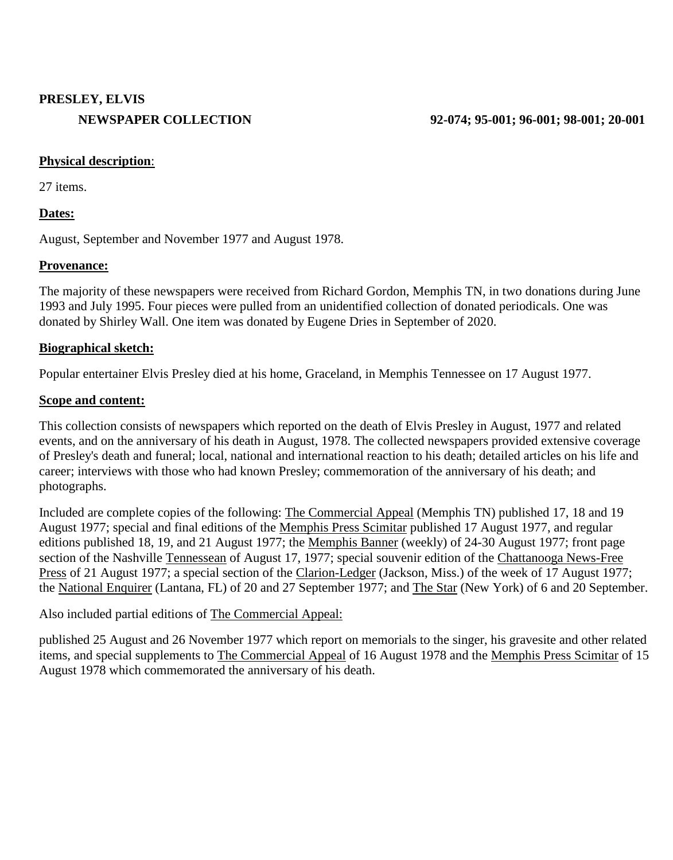# **PRESLEY, ELVIS**

### **Physical description**:

27 items.

## **Dates:**

August, September and November 1977 and August 1978.

## **Provenance:**

The majority of these newspapers were received from Richard Gordon, Memphis TN, in two donations during June 1993 and July 1995. Four pieces were pulled from an unidentified collection of donated periodicals. One was donated by Shirley Wall. One item was donated by Eugene Dries in September of 2020.

## **Biographical sketch:**

Popular entertainer Elvis Presley died at his home, Graceland, in Memphis Tennessee on 17 August 1977.

#### **Scope and content:**

This collection consists of newspapers which reported on the death of Elvis Presley in August, 1977 and related events, and on the anniversary of his death in August, 1978. The collected newspapers provided extensive coverage of Presley's death and funeral; local, national and international reaction to his death; detailed articles on his life and career; interviews with those who had known Presley; commemoration of the anniversary of his death; and photographs.

Included are complete copies of the following: The Commercial Appeal (Memphis TN) published 17, 18 and 19 August 1977; special and final editions of the Memphis Press Scimitar published 17 August 1977, and regular editions published 18, 19, and 21 August 1977; the Memphis Banner (weekly) of 24-30 August 1977; front page section of the Nashville Tennessean of August 17, 1977; special souvenir edition of the Chattanooga News-Free Press of 21 August 1977; a special section of the Clarion-Ledger (Jackson, Miss.) of the week of 17 August 1977; the National Enquirer (Lantana, FL) of 20 and 27 September 1977; and The Star (New York) of 6 and 20 September.

Also included partial editions of The Commercial Appeal:

published 25 August and 26 November 1977 which report on memorials to the singer, his gravesite and other related items, and special supplements to The Commercial Appeal of 16 August 1978 and the Memphis Press Scimitar of 15 August 1978 which commemorated the anniversary of his death.